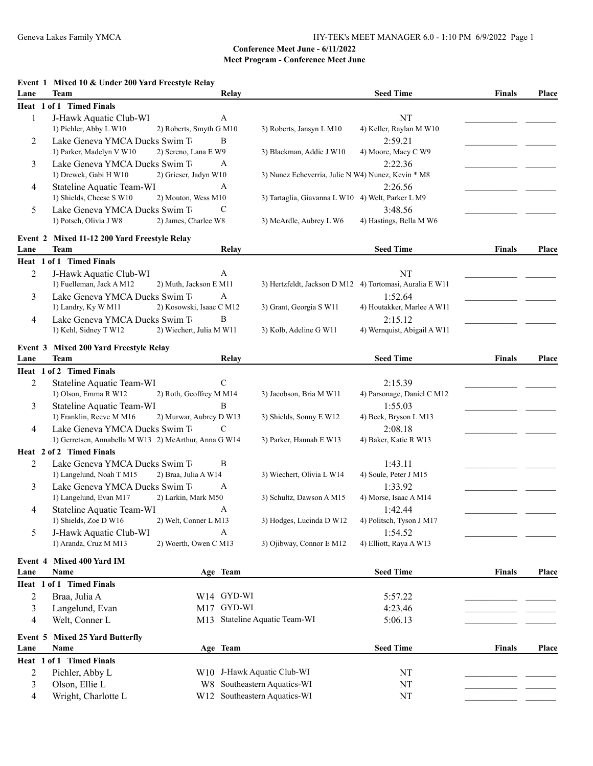### **Event 1 Mixed 10 & Under 200 Yard Freestyle Relay**

| Lane    | Team                                                  |                              | Relay      |                                                    | <b>Seed Time</b>                                         | <b>Finals</b> | Place        |
|---------|-------------------------------------------------------|------------------------------|------------|----------------------------------------------------|----------------------------------------------------------|---------------|--------------|
|         | Heat 1 of 1 Timed Finals                              |                              |            |                                                    |                                                          |               |              |
| 1       | J-Hawk Aquatic Club-WI                                | A                            |            |                                                    | NT                                                       |               |              |
|         | 1) Pichler, Abby L W10                                | 2) Roberts, Smyth G M10      |            | 3) Roberts, Jansyn L M10                           | 4) Keller, Raylan M W10                                  |               |              |
| 2       | Lake Geneva YMCA Ducks Swim T                         | B                            |            |                                                    | 2:59.21                                                  |               |              |
|         | 1) Parker, Madelyn V W10                              | 2) Sereno, Lana E W9         |            | 3) Blackman, Addie J W10                           | 4) Moore, Macy C W9                                      |               |              |
| 3       | Lake Geneva YMCA Ducks Swim T                         | A                            |            |                                                    | 2:22.36                                                  |               |              |
|         | 1) Drewek, Gabi H W10                                 | 2) Grieser, Jadyn W10        |            | 3) Nunez Echeverria, Julie N W4) Nunez, Kevin * M8 |                                                          |               |              |
| 4       | Stateline Aquatic Team-WI                             | A                            |            |                                                    | 2:26.56                                                  |               |              |
|         | 1) Shields, Cheese S W10                              | 2) Mouton, Wess M10          |            | 3) Tartaglia, Giavanna L W10 4) Welt, Parker L M9  |                                                          |               |              |
| 5       | Lake Geneva YMCA Ducks Swim T                         | $\mathsf{C}$                 |            |                                                    | 3:48.56                                                  |               |              |
|         | 1) Potsch, Olivia J W8                                | 2) James, Charlee W8         |            | 3) McArdle, Aubrey L W6                            | 4) Hastings, Bella M W6                                  |               |              |
| Event 2 | Mixed 11-12 200 Yard Freestyle Relay                  |                              |            |                                                    |                                                          |               |              |
| Lane    | <b>Team</b>                                           |                              | Relay      |                                                    | <b>Seed Time</b>                                         | <b>Finals</b> | Place        |
|         | Heat 1 of 1 Timed Finals                              |                              |            |                                                    |                                                          |               |              |
| 2       | J-Hawk Aquatic Club-WI                                | A                            |            |                                                    | NT                                                       |               |              |
|         | 1) Fuelleman, Jack A M12                              | 2) Muth, Jackson E M11       |            |                                                    | 3) Hertzfeldt, Jackson D M12 4) Tortomasi, Auralia E W11 |               |              |
| 3       | Lake Geneva YMCA Ducks Swim T                         | A                            |            |                                                    | 1:52.64                                                  |               |              |
|         | 1) Landry, Ky W M11                                   | 2) Kosowski, Isaac C M12     |            | 3) Grant, Georgia S W11                            | 4) Houtakker, Marlee A W11                               |               |              |
| 4       | Lake Geneva YMCA Ducks Swim T                         | B                            |            |                                                    | 2:15.12                                                  |               |              |
|         | 1) Kehl, Sidney T W12                                 | 2) Wiechert, Julia M W11     |            | 3) Kolb, Adeline G W11                             | 4) Wernquist, Abigail A W11                              |               |              |
|         |                                                       |                              |            |                                                    |                                                          |               |              |
|         | Event 3 Mixed 200 Yard Freestyle Relay                |                              |            |                                                    |                                                          |               |              |
| Lane    | Team                                                  |                              | Relay      |                                                    | <b>Seed Time</b>                                         | <b>Finals</b> | <b>Place</b> |
|         | Heat 1 of 2 Timed Finals                              |                              |            |                                                    |                                                          |               |              |
| 2       | Stateline Aquatic Team-WI<br>1) Olson, Emma R W12     | $\mathbf C$                  |            | 3) Jacobson, Bria M W11                            | 2:15.39                                                  |               |              |
|         |                                                       | 2) Roth, Geoffrey M M14<br>B |            |                                                    | 4) Parsonage, Daniel C M12                               |               |              |
| 3       | Stateline Aquatic Team-WI<br>1) Franklin, Reeve M M16 | 2) Murwar, Aubrey D W13      |            | 3) Shields, Sonny E W12                            | 1:55.03<br>4) Beck, Bryson L M13                         |               |              |
|         | Lake Geneva YMCA Ducks Swim T                         | C                            |            |                                                    | 2:08.18                                                  |               |              |
| 4       | 1) Gerretsen, Annabella M W13 2) McArthur, Anna G W14 |                              |            | 3) Parker, Hannah E W13                            | 4) Baker, Katie R W13                                    |               |              |
|         | Heat 2 of 2 Timed Finals                              |                              |            |                                                    |                                                          |               |              |
| 2       | Lake Geneva YMCA Ducks Swim T                         | B                            |            |                                                    | 1:43.11                                                  |               |              |
|         | 1) Langelund, Noah T M15                              | 2) Braa, Julia A W14         |            | 3) Wiechert, Olivia L W14                          | 4) Soule, Peter J M15                                    |               |              |
| 3       | Lake Geneva YMCA Ducks Swim T                         | A                            |            |                                                    | 1:33.92                                                  |               |              |
|         | 1) Langelund, Evan M17                                | 2) Larkin, Mark M50          |            | 3) Schultz, Dawson A M15                           | 4) Morse, Isaac A M14                                    |               |              |
| 4       | Stateline Aquatic Team-WI                             | А                            |            |                                                    | 1:42.44                                                  |               |              |
|         | 1) Shields, Zoe D W16                                 | 2) Welt, Conner L M13        |            | 3) Hodges, Lucinda D W12                           | 4) Politsch, Tyson J M17                                 |               |              |
| 5       | J-Hawk Aquatic Club-WI                                | A                            |            |                                                    | 1:54.52                                                  |               |              |
|         | 1) Aranda, Cruz M M13                                 | 2) Woerth, Owen C M13        |            | 3) Ojibway, Connor E M12                           | 4) Elliott, Raya A W13                                   |               |              |
|         |                                                       |                              |            |                                                    |                                                          |               |              |
| Event 4 | Mixed 400 Yard IM                                     |                              |            |                                                    |                                                          |               |              |
| Lane    | Name                                                  | Age Team                     |            |                                                    | <b>Seed Time</b>                                         | <b>Finals</b> | Place        |
|         | Heat 1 of 1 Timed Finals                              |                              |            |                                                    |                                                          |               |              |
| 2       | Braa, Julia A                                         |                              | W14 GYD-WI |                                                    | 5:57.22                                                  |               |              |
| 3       | Langelund, Evan                                       |                              | M17 GYD-WI |                                                    | 4:23.46                                                  |               |              |
| 4       | Welt, Conner L                                        |                              |            | M13 Stateline Aquatic Team-WI                      | 5:06.13                                                  |               |              |
| Event 5 | <b>Mixed 25 Yard Butterfly</b>                        |                              |            |                                                    |                                                          |               |              |
| Lane    | Name                                                  | Age Team                     |            |                                                    | <b>Seed Time</b>                                         | <b>Finals</b> | Place        |
|         | Heat 1 of 1 Timed Finals                              |                              |            |                                                    |                                                          |               |              |
| 2       | Pichler, Abby L                                       |                              |            | W10 J-Hawk Aquatic Club-WI                         | NT                                                       |               |              |
| 3       | Olson, Ellie L                                        | W8                           |            | Southeastern Aquatics-WI                           | NT                                                       |               |              |
| 4       | Wright, Charlotte L                                   | W12                          |            | Southeastern Aquatics-WI                           | NT                                                       |               |              |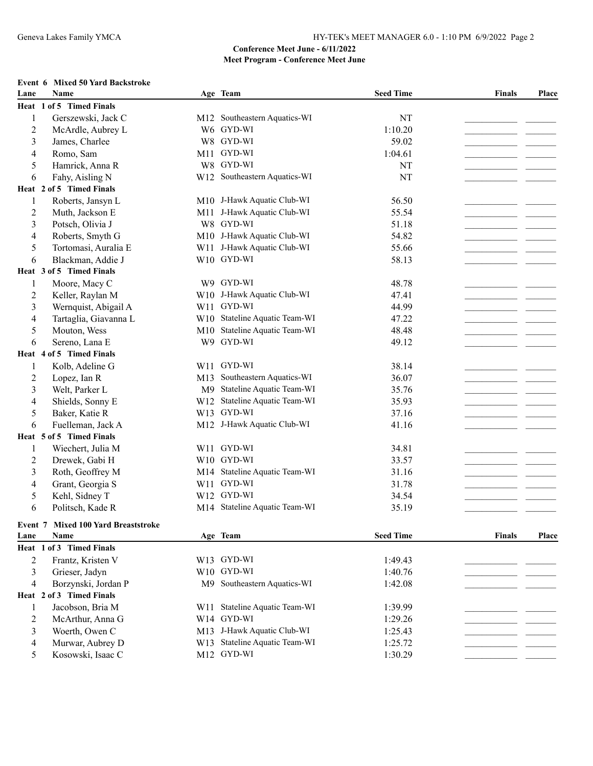# **Event 6 Mixed 50 Yard Backstroke**

| Lane           | <b>Name</b>                         |                 | Age Team                      | <b>Seed Time</b> | <b>Finals</b> | Place |
|----------------|-------------------------------------|-----------------|-------------------------------|------------------|---------------|-------|
|                | Heat 1 of 5 Timed Finals            |                 |                               |                  |               |       |
| 1              | Gerszewski, Jack C                  |                 | M12 Southeastern Aquatics-WI  | NT               |               |       |
| $\overline{c}$ | McArdle, Aubrey L                   |                 | W6 GYD-WI                     | 1:10.20          |               |       |
| 3              | James, Charlee                      |                 | W8 GYD-WI                     | 59.02            |               |       |
| 4              | Romo, Sam                           |                 | M11 GYD-WI                    | 1:04.61          |               |       |
| 5              | Hamrick, Anna R                     |                 | W8 GYD-WI                     | NT               |               |       |
| 6              | Fahy, Aisling N                     |                 | W12 Southeastern Aquatics-WI  | NT               |               |       |
|                | Heat 2 of 5 Timed Finals            |                 |                               |                  |               |       |
| 1              | Roberts, Jansyn L                   |                 | M10 J-Hawk Aquatic Club-WI    | 56.50            |               |       |
| $\overline{2}$ | Muth, Jackson E                     | M11             | J-Hawk Aquatic Club-WI        | 55.54            |               |       |
| 3              | Potsch, Olivia J                    | W8              | GYD-WI                        | 51.18            |               |       |
| 4              | Roberts, Smyth G                    |                 | M10 J-Hawk Aquatic Club-WI    | 54.82            |               |       |
| 5              | Tortomasi, Auralia E                | W11             | J-Hawk Aquatic Club-WI        | 55.66            |               |       |
| 6              | Blackman, Addie J                   |                 | W10 GYD-WI                    | 58.13            |               |       |
|                | Heat 3 of 5 Timed Finals            |                 |                               |                  |               |       |
| 1              | Moore, Macy C                       |                 | W9 GYD-WI                     | 48.78            |               |       |
| 2              | Keller, Raylan M                    |                 | W10 J-Hawk Aquatic Club-WI    | 47.41            |               |       |
| 3              | Wernquist, Abigail A                |                 | W11 GYD-WI                    | 44.99            |               |       |
| 4              | Tartaglia, Giavanna L               |                 | W10 Stateline Aquatic Team-WI | 47.22            |               |       |
| 5              | Mouton, Wess                        | M10             | Stateline Aquatic Team-WI     | 48.48            |               |       |
| 6              | Sereno, Lana E                      |                 | W9 GYD-WI                     | 49.12            |               |       |
|                | Heat 4 of 5 Timed Finals            |                 |                               |                  |               |       |
| 1              | Kolb, Adeline G                     |                 | W11 GYD-WI                    | 38.14            |               |       |
| $\overline{c}$ | Lopez, Ian R                        | M13             | Southeastern Aquatics-WI      | 36.07            |               |       |
| 3              | Welt, Parker L                      | M <sup>9</sup>  | Stateline Aquatic Team-WI     | 35.76            |               |       |
| 4              | Shields, Sonny E                    | W <sub>12</sub> | Stateline Aquatic Team-WI     | 35.93            |               |       |
| 5              | Baker, Katie R                      | W13             | GYD-WI                        | 37.16            |               |       |
| 6              | Fuelleman, Jack A                   |                 | M12 J-Hawk Aquatic Club-WI    | 41.16            |               |       |
|                | Heat 5 of 5 Timed Finals            |                 |                               |                  |               |       |
| 1              | Wiechert, Julia M                   | W11             | GYD-WI                        | 34.81            |               |       |
| $\overline{c}$ | Drewek, Gabi H                      |                 | W10 GYD-WI                    | 33.57            |               |       |
| 3              | Roth, Geoffrey M                    |                 | M14 Stateline Aquatic Team-WI | 31.16            |               |       |
| 4              | Grant, Georgia S                    |                 | W11 GYD-WI                    | 31.78            |               |       |
| 5              | Kehl, Sidney T                      |                 | W12 GYD-WI                    | 34.54            |               |       |
| 6              | Politsch, Kade R                    |                 | M14 Stateline Aquatic Team-WI | 35.19            |               |       |
|                |                                     |                 |                               |                  |               |       |
|                | Event 7 Mixed 100 Yard Breaststroke |                 |                               |                  |               |       |
| Lane           | Name                                |                 | Age Team                      | <b>Seed Time</b> | <b>Finals</b> | Place |
|                | Heat 1 of 3 Timed Finals            |                 |                               |                  |               |       |
| $\overline{c}$ | Frantz, Kristen V                   |                 | W13 GYD-WI                    | 1:49.43          |               |       |
| $\mathfrak{Z}$ | Grieser, Jadyn                      |                 | W10 GYD-WI                    | 1:40.76          |               |       |
| $\overline{4}$ | Borzynski, Jordan P                 |                 | M9 Southeastern Aquatics-WI   | 1:42.08          |               |       |
|                | Heat 2 of 3 Timed Finals            |                 |                               |                  |               |       |
| $\mathbf{1}$   | Jacobson, Bria M                    | W11             | Stateline Aquatic Team-WI     | 1:39.99          |               |       |
| $\overline{c}$ | McArthur, Anna G                    |                 | W14 GYD-WI                    | 1:29.26          |               |       |
| 3              | Woerth, Owen C                      |                 | M13 J-Hawk Aquatic Club-WI    | 1:25.43          |               |       |
| $\overline{4}$ | Murwar, Aubrey D                    |                 | W13 Stateline Aquatic Team-WI | 1:25.72          |               |       |
| 5              | Kosowski, Isaac C                   |                 | M12 GYD-WI                    | 1:30.29          |               |       |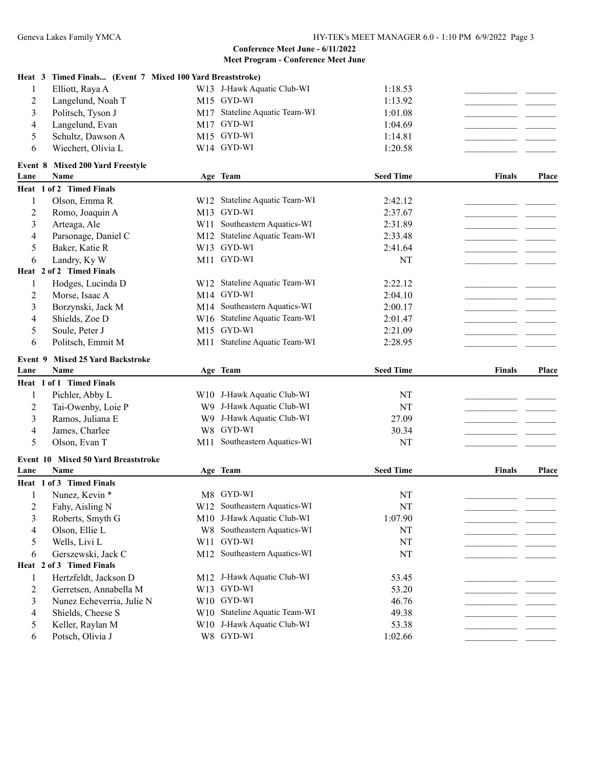|                | Heat 3 Timed Finals (Event 7 Mixed 100 Yard Breaststroke) |     |                                         |                  |               |              |
|----------------|-----------------------------------------------------------|-----|-----------------------------------------|------------------|---------------|--------------|
| 1              | Elliott, Raya A                                           |     | W13 J-Hawk Aquatic Club-WI              | 1:18.53          |               |              |
| 2              | Langelund, Noah T                                         |     | M15 GYD-WI                              | 1:13.92          |               |              |
| 3              | Politsch, Tyson J                                         |     | M17 Stateline Aquatic Team-WI           | 1:01.08          |               |              |
| 4              | Langelund, Evan                                           |     | M17 GYD-WI                              | 1:04.69          |               |              |
| 5              | Schultz, Dawson A                                         |     | M15 GYD-WI                              | 1:14.81          |               |              |
| 6              | Wiechert, Olivia L                                        |     | W14 GYD-WI                              | 1:20.58          |               |              |
|                | Event 8 Mixed 200 Yard Freestyle                          |     |                                         |                  |               |              |
| Lane           | Name                                                      |     | Age Team                                | <b>Seed Time</b> | Finals        | <b>Place</b> |
|                | Heat 1 of 2 Timed Finals                                  |     |                                         |                  |               |              |
| 1              | Olson, Emma R                                             |     | W12 Stateline Aquatic Team-WI           | 2:42.12          |               |              |
| 2              | Romo, Joaquin A                                           |     | M13 GYD-WI                              | 2:37.67          |               |              |
| 3              | Arteaga, Ale                                              |     | W11 Southeastern Aquatics-WI            | 2:31.89          |               |              |
| 4              | Parsonage, Daniel C                                       |     | M12 Stateline Aquatic Team-WI           | 2:33.48          |               |              |
| 5              | Baker, Katie R                                            |     | W13 GYD-WI                              | 2:41.64          |               |              |
| 6              | Landry, Ky W                                              |     | M11 GYD-WI                              | NT               |               |              |
|                | Heat 2 of 2 Timed Finals                                  |     |                                         |                  |               |              |
| 1              | Hodges, Lucinda D                                         |     | W12 Stateline Aquatic Team-WI           | 2:22.12          |               |              |
| 2              | Morse, Isaac A                                            |     | M14 GYD-WI                              | 2:04.10          |               |              |
| 3              | Borzynski, Jack M                                         |     | M14 Southeastern Aquatics-WI            | 2:00.17          |               |              |
| 4              | Shields, Zoe D                                            |     | W16 Stateline Aquatic Team-WI           | 2:01.47          |               |              |
| 5              | Soule, Peter J                                            |     | M15 GYD-WI                              | 2:21.09          |               |              |
| 6              | Politsch, Emmit M                                         |     | M11 Stateline Aquatic Team-WI           | 2:28.95          |               |              |
|                |                                                           |     |                                         |                  |               |              |
|                |                                                           |     |                                         |                  |               |              |
| Event 9        | <b>Mixed 25 Yard Backstroke</b>                           |     |                                         |                  |               |              |
| Lane           | Name                                                      |     | Age Team                                | <b>Seed Time</b> | Finals        | Place        |
|                | Heat 1 of 1 Timed Finals                                  |     |                                         |                  |               |              |
| 1              | Pichler, Abby L                                           |     | W10 J-Hawk Aquatic Club-WI              | <b>NT</b>        |               |              |
| 2              | Tai-Owenby, Loie P                                        |     | W9 J-Hawk Aquatic Club-WI               | NT               |               |              |
| 3              | Ramos, Juliana E                                          |     | W9 J-Hawk Aquatic Club-WI               | 27.09            |               |              |
| 4              | James, Charlee                                            |     | W8 GYD-WI                               | 30.34            |               |              |
| 5              | Olson, Evan T                                             |     | M11 Southeastern Aquatics-WI            | NT               |               |              |
|                | Event 10 Mixed 50 Yard Breaststroke                       |     |                                         |                  |               |              |
| Lane           | Name                                                      |     | Age Team                                | <b>Seed Time</b> | <b>Finals</b> | <b>Place</b> |
|                | Heat 1 of 3 Timed Finals                                  |     |                                         |                  |               |              |
| 1              | Nunez, Kevin *                                            |     | M8 GYD-WI                               | NT               |               |              |
| $\overline{c}$ | Fahy, Aisling N                                           |     | W12 Southeastern Aquatics-WI            | $\mathbf{NT}$    |               |              |
| 3              | Roberts, Smyth G                                          |     | M10 J-Hawk Aquatic Club-WI              | 1:07.90          |               |              |
| 4              | Olson, Ellie L                                            |     | W8 Southeastern Aquatics-WI             | NT               |               |              |
| 5              | Wells, Livi L                                             | W11 | GYD-WI                                  | NT               |               |              |
| 6              | Gerszewski, Jack C                                        |     | M12 Southeastern Aquatics-WI            | NT               |               |              |
|                | Heat 2 of 3 Timed Finals                                  |     |                                         |                  |               |              |
| 1              | Hertzfeldt, Jackson D                                     |     | M12 J-Hawk Aquatic Club-WI              | 53.45            |               |              |
| $\overline{2}$ | Gerretsen, Annabella M                                    |     | W13 GYD-WI                              | 53.20            |               |              |
| 3              | Nunez Echeverria, Julie N                                 |     | W10 GYD-WI                              | 46.76            |               |              |
| 4              | Shields, Cheese S                                         |     | W10 Stateline Aquatic Team-WI           | 49.38            |               |              |
| 5<br>6         | Keller, Raylan M<br>Potsch, Olivia J                      |     | W10 J-Hawk Aquatic Club-WI<br>W8 GYD-WI | 53.38<br>1:02.66 |               |              |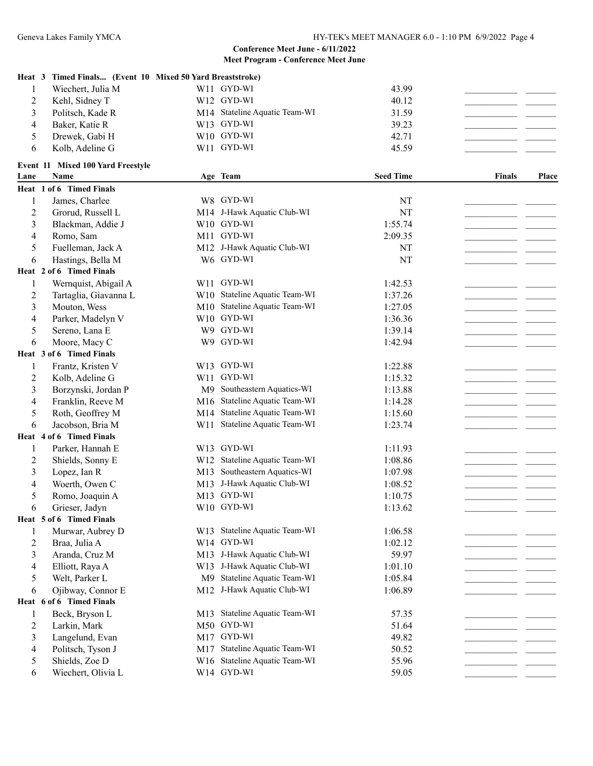|                | Heat 3 Timed Finals (Event 10 Mixed 50 Yard Breaststroke) |                |                               |                  |               |       |
|----------------|-----------------------------------------------------------|----------------|-------------------------------|------------------|---------------|-------|
| 1              | Wiechert, Julia M                                         |                | W11 GYD-WI                    | 43.99            |               |       |
| 2              | Kehl, Sidney T                                            |                | W12 GYD-WI                    | 40.12            |               |       |
| 3              | Politsch, Kade R                                          |                | M14 Stateline Aquatic Team-WI | 31.59            |               |       |
| 4              | Baker, Katie R                                            |                | W13 GYD-WI                    | 39.23            |               |       |
| 5              | Drewek, Gabi H                                            |                | W10 GYD-WI                    | 42.71            |               |       |
| 6              | Kolb, Adeline G                                           |                | W11 GYD-WI                    | 45.59            |               |       |
|                |                                                           |                |                               |                  |               |       |
| Lane           | Event 11 Mixed 100 Yard Freestyle<br><b>Name</b>          |                | Age Team                      | <b>Seed Time</b> | <b>Finals</b> | Place |
|                | Heat 1 of 6 Timed Finals                                  |                |                               |                  |               |       |
| 1              | James, Charlee                                            |                | W8 GYD-WI                     | NT               |               |       |
| 2              | Grorud, Russell L                                         |                | M14 J-Hawk Aquatic Club-WI    | NT               |               |       |
| 3              | Blackman, Addie J                                         |                | W10 GYD-WI                    | 1:55.74          |               |       |
| 4              | Romo, Sam                                                 |                | M11 GYD-WI                    | 2:09.35          |               |       |
| 5              | Fuelleman, Jack A                                         |                | M12 J-Hawk Aquatic Club-WI    | NT               |               |       |
| 6              | Hastings, Bella M                                         |                | W6 GYD-WI                     | NT               |               |       |
|                | Heat 2 of 6 Timed Finals                                  |                |                               |                  |               |       |
| 1              | Wernquist, Abigail A                                      |                | W11 GYD-WI                    | 1:42.53          |               |       |
| 2              | Tartaglia, Giavanna L                                     |                | W10 Stateline Aquatic Team-WI | 1:37.26          |               |       |
| 3              | Mouton, Wess                                              |                | M10 Stateline Aquatic Team-WI | 1:27.05          |               |       |
| 4              | Parker, Madelyn V                                         |                | W10 GYD-WI                    | 1:36.36          |               |       |
| 5              | Sereno, Lana E                                            |                | W9 GYD-WI                     | 1:39.14          |               |       |
| 6              | Moore, Macy C                                             |                | W9 GYD-WI                     | 1:42.94          |               |       |
|                | Heat 3 of 6 Timed Finals                                  |                |                               |                  |               |       |
| 1              | Frantz, Kristen V                                         |                | W13 GYD-WI                    | 1:22.88          |               |       |
| $\overline{c}$ | Kolb, Adeline G                                           | W11            | GYD-WI                        | 1:15.32          |               |       |
| 3              | Borzynski, Jordan P                                       | M <sup>9</sup> | Southeastern Aquatics-WI      | 1:13.88          |               |       |
| 4              | Franklin, Reeve M                                         | M16            | Stateline Aquatic Team-WI     | 1:14.28          |               |       |
| 5              | Roth, Geoffrey M                                          | M14            | Stateline Aquatic Team-WI     | 1:15.60          |               |       |
| 6              | Jacobson, Bria M                                          | W11            | Stateline Aquatic Team-WI     | 1:23.74          |               |       |
|                | Heat 4 of 6 Timed Finals                                  |                |                               |                  |               |       |
| 1              | Parker, Hannah E                                          |                | W13 GYD-WI                    | 1:11.93          |               |       |
| 2              | Shields, Sonny E                                          |                | W12 Stateline Aquatic Team-WI | 1:08.86          |               |       |
| 3              | Lopez, Ian R                                              |                | M13 Southeastern Aquatics-WI  | 1:07.98          |               |       |
| 4              | Woerth, Owen C                                            |                | M13 J-Hawk Aquatic Club-WI    | 1:08.52          |               |       |
| 5              | Romo, Joaquin A                                           |                | M13 GYD-WI                    | 1:10.75          |               |       |
| 6              | Grieser, Jadyn                                            |                | W10 GYD-WI                    | 1:13.62          |               |       |
|                | Heat 5 of 6 Timed Finals                                  |                |                               |                  |               |       |
| 1              | Murwar, Aubrey D                                          |                | W13 Stateline Aquatic Team-WI | 1:06.58          |               |       |
| $\overline{c}$ | Braa, Julia A                                             |                | W14 GYD-WI                    | 1:02.12          |               |       |
| 3              | Aranda, Cruz M                                            |                | M13 J-Hawk Aquatic Club-WI    | 59.97            |               |       |
| 4              | Elliott, Raya A                                           |                | W13 J-Hawk Aquatic Club-WI    | 1:01.10          |               |       |
| 5              | Welt, Parker L                                            | M <sup>9</sup> | Stateline Aquatic Team-WI     | 1:05.84          |               |       |
| 6              | Ojibway, Connor E                                         |                | M12 J-Hawk Aquatic Club-WI    | 1:06.89          |               |       |
|                | Heat 6 of 6 Timed Finals                                  |                |                               |                  |               |       |
| 1              | Beck, Bryson L                                            |                | M13 Stateline Aquatic Team-WI | 57.35            |               |       |
| $\overline{c}$ | Larkin, Mark                                              |                | M50 GYD-WI                    | 51.64            |               |       |
| 3              | Langelund, Evan                                           |                | M17 GYD-WI                    | 49.82            |               |       |
| 4              | Politsch, Tyson J                                         |                | M17 Stateline Aquatic Team-WI | 50.52            |               |       |
| 5              | Shields, Zoe D                                            |                | W16 Stateline Aquatic Team-WI | 55.96            |               |       |
| 6              | Wiechert, Olivia L                                        |                | W14 GYD-WI                    | 59.05            |               |       |
|                |                                                           |                |                               |                  |               |       |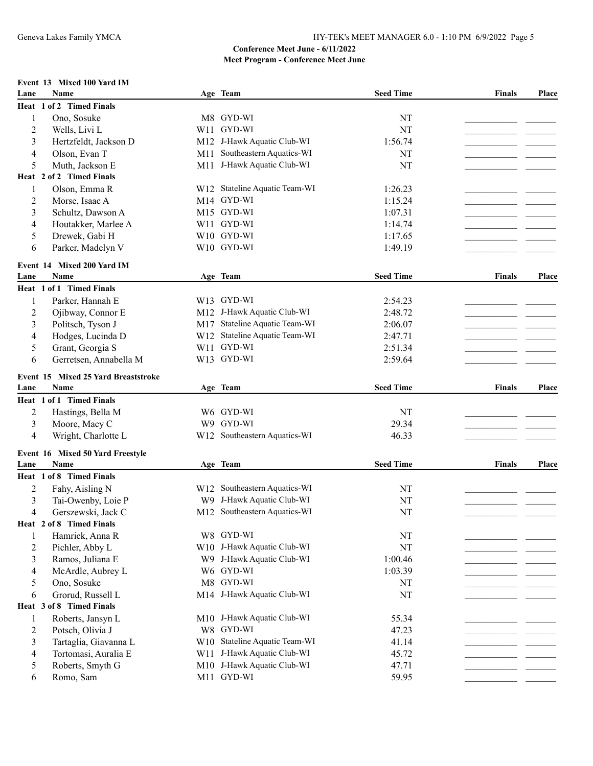### **Event 13 Mixed 100 Yard IM**

| Lane           | Name                                        |                | Age Team                      | <b>Seed Time</b> | <b>Finals</b> | Place        |
|----------------|---------------------------------------------|----------------|-------------------------------|------------------|---------------|--------------|
|                | Heat 1 of 2 Timed Finals                    |                |                               |                  |               |              |
| 1              | Ono, Sosuke                                 |                | M8 GYD-WI                     | NT               |               |              |
| 2              | Wells, Livi L                               | W11            | GYD-WI                        | <b>NT</b>        |               |              |
| 3              | Hertzfeldt, Jackson D                       |                | M12 J-Hawk Aquatic Club-WI    | 1:56.74          |               |              |
| 4              | Olson, Evan T                               | M11            | Southeastern Aquatics-WI      | NT               |               |              |
| 5              | Muth, Jackson E                             | M11            | J-Hawk Aquatic Club-WI        | <b>NT</b>        |               |              |
|                | Heat 2 of 2 Timed Finals                    |                |                               |                  |               |              |
| 1              | Olson, Emma R                               |                | W12 Stateline Aquatic Team-WI | 1:26.23          |               |              |
| 2              | Morse, Isaac A                              | M14            | GYD-WI                        | 1:15.24          |               |              |
| 3              | Schultz, Dawson A                           |                | M15 GYD-WI                    | 1:07.31          |               |              |
| 4              | Houtakker, Marlee A                         |                | W11 GYD-WI                    | 1:14.74          |               |              |
| 5              | Drewek, Gabi H                              |                | W10 GYD-WI                    | 1:17.65          |               |              |
| 6              | Parker, Madelyn V                           |                | W10 GYD-WI                    | 1:49.19          |               |              |
|                |                                             |                |                               |                  |               |              |
|                | Event 14 Mixed 200 Yard IM                  |                |                               |                  |               |              |
| Lane           | Name                                        |                | Age Team                      | <b>Seed Time</b> | Finals        | <b>Place</b> |
|                | Heat 1 of 1 Timed Finals                    |                |                               |                  |               |              |
| 1              | Parker, Hannah E                            |                | W13 GYD-WI                    | 2:54.23          |               |              |
| 2              | Ojibway, Connor E                           |                | M12 J-Hawk Aquatic Club-WI    | 2:48.72          |               |              |
| 3              | Politsch, Tyson J                           | M17            | Stateline Aquatic Team-WI     | 2:06.07          |               |              |
| 4              | Hodges, Lucinda D                           |                | W12 Stateline Aquatic Team-WI | 2:47.71          |               |              |
| 5              | Grant, Georgia S                            | W11            | GYD-WI                        | 2:51.34          |               |              |
| 6              | Gerretsen, Annabella M                      |                | W13 GYD-WI                    | 2:59.64          |               |              |
|                |                                             |                |                               |                  |               |              |
| Lane           | Event 15 Mixed 25 Yard Breaststroke<br>Name |                | Age Team                      | <b>Seed Time</b> | <b>Finals</b> | Place        |
|                | Heat 1 of 1 Timed Finals                    |                |                               |                  |               |              |
|                |                                             |                | W6 GYD-WI                     |                  |               |              |
| 2              | Hastings, Bella M                           |                | W9 GYD-WI                     | NT               |               |              |
| 3              | Moore, Macy C                               |                |                               | 29.34            |               |              |
| 4              | Wright, Charlotte L                         |                | W12 Southeastern Aquatics-WI  | 46.33            |               |              |
|                | Event 16 Mixed 50 Yard Freestyle            |                |                               |                  |               |              |
| Lane           | <b>Name</b>                                 |                | Age Team                      | <b>Seed Time</b> | Finals        | Place        |
|                | Heat 1 of 8 Timed Finals                    |                |                               |                  |               |              |
| $\overline{2}$ | Fahy, Aisling N                             | W12            | Southeastern Aquatics-WI      | NT               |               |              |
| 3              | Tai-Owenby, Loie P                          | W <sub>9</sub> | J-Hawk Aquatic Club-WI        | NT               |               |              |
| 4              | Gerszewski, Jack C                          |                | M12 Southeastern Aquatics-WI  | NT               |               |              |
|                | Heat 2 of 8 Timed Finals                    |                |                               |                  |               |              |
| 1              | Hamrick, Anna R                             |                | W8 GYD-WI                     | NT               |               |              |
| $\overline{c}$ | Pichler, Abby L                             |                | W10 J-Hawk Aquatic Club-WI    | <b>NT</b>        |               |              |
| 3              | Ramos, Juliana E                            |                | W9 J-Hawk Aquatic Club-WI     | 1:00.46          |               |              |
| 4              | McArdle, Aubrey L                           |                | W6 GYD-WI                     | 1:03.39          |               |              |
| 5              | Ono, Sosuke                                 |                | M8 GYD-WI                     | NT               |               |              |
| 6              | Grorud, Russell L                           |                | M14 J-Hawk Aquatic Club-WI    | <b>NT</b>        |               |              |
|                | Heat 3 of 8 Timed Finals                    |                |                               |                  |               |              |
| $\mathbf{1}$   | Roberts, Jansyn L                           |                | M10 J-Hawk Aquatic Club-WI    | 55.34            |               |              |
| $\overline{c}$ | Potsch, Olivia J                            |                | W8 GYD-WI                     | 47.23            |               |              |
| 3              | Tartaglia, Giavanna L                       |                | W10 Stateline Aquatic Team-WI | 41.14            |               |              |
| 4              | Tortomasi, Auralia E                        |                | W11 J-Hawk Aquatic Club-WI    | 45.72            |               |              |
| 5              | Roberts, Smyth G                            |                | M10 J-Hawk Aquatic Club-WI    | 47.71            |               |              |
| 6              | Romo, Sam                                   |                | M11 GYD-WI                    | 59.95            |               |              |
|                |                                             |                |                               |                  |               |              |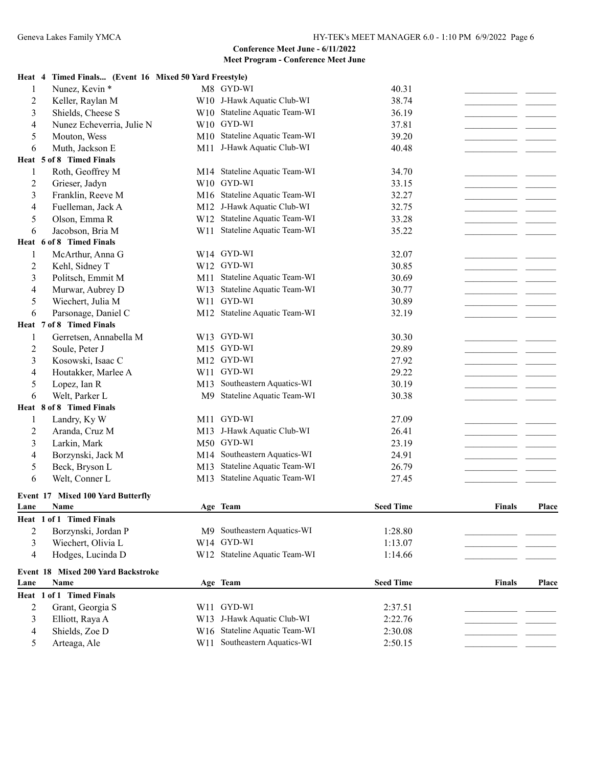#### **Heat 4 Timed Finals... (Event 16 Mixed 50 Yard Freestyle)**

| 1              | Nunez, Kevin *                                  |     | M8 GYD-WI                     | 40.31            |               |       |
|----------------|-------------------------------------------------|-----|-------------------------------|------------------|---------------|-------|
| $\overline{c}$ | Keller, Raylan M                                |     | W10 J-Hawk Aquatic Club-WI    | 38.74            | - -           |       |
| 3              | Shields, Cheese S                               |     | W10 Stateline Aquatic Team-WI | 36.19            |               |       |
| 4              | Nunez Echeverria, Julie N                       |     | W10 GYD-WI                    | 37.81            |               |       |
| 5              | Mouton, Wess                                    |     | M10 Stateline Aquatic Team-WI | 39.20            |               |       |
| 6              | Muth, Jackson E                                 |     | M11 J-Hawk Aquatic Club-WI    | 40.48            |               |       |
|                | Heat 5 of 8 Timed Finals                        |     |                               |                  |               |       |
| 1              | Roth, Geoffrey M                                |     | M14 Stateline Aquatic Team-WI | 34.70            |               |       |
| $\overline{c}$ | Grieser, Jadyn                                  |     | W10 GYD-WI                    | 33.15            |               |       |
| 3              | Franklin, Reeve M                               |     | M16 Stateline Aquatic Team-WI | 32.27            |               |       |
| 4              | Fuelleman, Jack A                               |     | M12 J-Hawk Aquatic Club-WI    | 32.75            |               |       |
| 5              | Olson, Emma R                                   |     | W12 Stateline Aquatic Team-WI | 33.28            |               |       |
| 6              | Jacobson, Bria M                                |     | W11 Stateline Aquatic Team-WI | 35.22            |               |       |
|                | Heat 6 of 8 Timed Finals                        |     |                               |                  |               |       |
| 1              | McArthur, Anna G                                |     | W14 GYD-WI                    | 32.07            |               |       |
| $\overline{c}$ | Kehl, Sidney T                                  |     | W12 GYD-WI                    | 30.85            |               |       |
| 3              | Politsch, Emmit M                               |     | M11 Stateline Aquatic Team-WI | 30.69            |               |       |
| 4              | Murwar, Aubrey D                                |     | W13 Stateline Aquatic Team-WI | 30.77            |               |       |
| 5              | Wiechert, Julia M                               |     | W11 GYD-WI                    |                  |               |       |
|                |                                                 |     |                               | 30.89            |               |       |
| 6              | Parsonage, Daniel C<br>Heat 7 of 8 Timed Finals |     | M12 Stateline Aquatic Team-WI | 32.19            |               |       |
|                |                                                 |     |                               |                  |               |       |
| 1              | Gerretsen, Annabella M                          |     | W13 GYD-WI                    | 30.30            |               |       |
| $\overline{c}$ | Soule, Peter J                                  |     | M15 GYD-WI                    | 29.89            |               |       |
| 3              | Kosowski, Isaac C                               |     | M12 GYD-WI                    | 27.92            |               |       |
| 4              | Houtakker, Marlee A                             |     | W11 GYD-WI                    | 29.22            |               |       |
| 5              | Lopez, Ian R                                    | M13 | Southeastern Aquatics-WI      | 30.19            |               |       |
| 6              | Welt, Parker L                                  | M9  | Stateline Aquatic Team-WI     | 30.38            |               |       |
|                | Heat 8 of 8 Timed Finals                        |     |                               |                  |               |       |
| 1              | Landry, Ky W                                    |     | M11 GYD-WI                    | 27.09            |               |       |
| $\overline{c}$ | Aranda, Cruz M                                  |     | M13 J-Hawk Aquatic Club-WI    | 26.41            |               |       |
| 3              | Larkin, Mark                                    |     | M50 GYD-WI                    | 23.19            |               |       |
| 4              | Borzynski, Jack M                               | M14 | Southeastern Aquatics-WI      | 24.91            |               |       |
| 5              | Beck, Bryson L                                  | M13 | Stateline Aquatic Team-WI     | 26.79            |               |       |
| 6              | Welt, Conner L                                  |     | M13 Stateline Aquatic Team-WI | 27.45            |               |       |
| Event 17       | <b>Mixed 100 Yard Butterfly</b>                 |     |                               |                  |               |       |
| Lane           | Name                                            |     | Age Team                      | <b>Seed Time</b> | <b>Finals</b> | Place |
|                | Heat 1 of 1 Timed Finals                        |     |                               |                  |               |       |
| $\overline{2}$ | Borzynski, Jordan P                             |     | M9 Southeastern Aquatics-WI   | 1:28.80          |               |       |
| 3              | Wiechert, Olivia L                              |     | W14 GYD-WI                    | 1:13.07          |               |       |
|                | Hodges, Lucinda D                               |     | W12 Stateline Aquatic Team-WI | 1:14.66          |               |       |
| 4              |                                                 |     |                               |                  |               |       |
|                | Event 18 Mixed 200 Yard Backstroke              |     |                               |                  |               |       |
| Lane           | Name                                            |     | Age Team                      | <b>Seed Time</b> | <b>Finals</b> | Place |
|                | Heat 1 of 1 Timed Finals                        |     |                               |                  |               |       |
| $\overline{c}$ | Grant, Georgia S                                |     | W11 GYD-WI                    | 2:37.51          |               |       |
| $\mathfrak{Z}$ | Elliott, Raya A                                 |     | W13 J-Hawk Aquatic Club-WI    | 2:22.76          |               |       |
| 4              | Shields, Zoe D                                  |     | W16 Stateline Aquatic Team-WI | 2:30.08          |               |       |
| 5              | Arteaga, Ale                                    |     | W11 Southeastern Aquatics-WI  | 2:50.15          |               |       |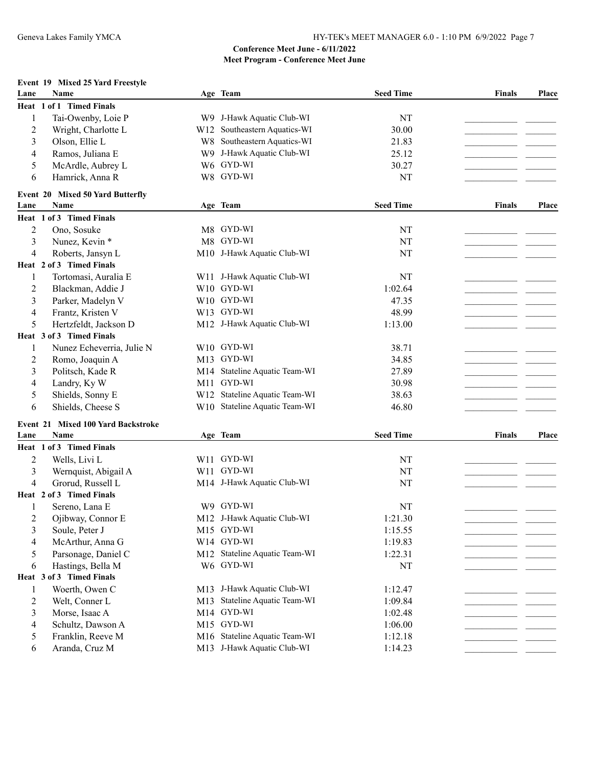## **Event 19 Mixed 25 Yard Freestyle**

| Heat 1 of 1 Timed Finals<br>Tai-Owenby, Loie P<br>W9 J-Hawk Aquatic Club-WI<br>NT<br>1<br>W12 Southeastern Aquatics-WI<br>$\overline{c}$<br>Wright, Charlotte L<br>30.00<br>Olson, Ellie L<br>W8 Southeastern Aquatics-WI<br>3<br>21.83<br>W9 J-Hawk Aquatic Club-WI<br>4<br>Ramos, Juliana E<br>25.12<br>W6 GYD-WI<br>5<br>McArdle, Aubrey L<br>30.27<br>W8 GYD-WI<br>Hamrick, Anna R<br><b>NT</b><br>6<br>Event 20 Mixed 50 Yard Butterfly<br><b>Seed Time</b><br>Name<br>Lane<br>Age Team<br><b>Finals</b><br>Heat 1 of 3 Timed Finals<br>M8 GYD-WI<br>2<br>Ono, Sosuke<br>NT<br>3<br>Nunez, Kevin *<br>GYD-WI<br>M8<br>NT<br>M10 J-Hawk Aquatic Club-WI<br><b>NT</b><br>4<br>Roberts, Jansyn L<br>Heat 2 of 3 Timed Finals<br>W11 J-Hawk Aquatic Club-WI<br>Tortomasi, Auralia E<br>NT<br>1<br>W10 GYD-WI<br>2<br>Blackman, Addie J<br>1:02.64<br>W10 GYD-WI<br>3<br>Parker, Madelyn V<br>47.35<br>W13 GYD-WI<br>Frantz, Kristen V<br>48.99<br>4<br>Hertzfeldt, Jackson D<br>M12 J-Hawk Aquatic Club-WI<br>1:13.00<br>5<br>Heat 3 of 3 Timed Finals<br>Nunez Echeverria, Julie N<br>W10 GYD-WI<br>38.71<br>1<br>M13 GYD-WI<br>34.85<br>2<br>Romo, Joaquin A |       |
|-----------------------------------------------------------------------------------------------------------------------------------------------------------------------------------------------------------------------------------------------------------------------------------------------------------------------------------------------------------------------------------------------------------------------------------------------------------------------------------------------------------------------------------------------------------------------------------------------------------------------------------------------------------------------------------------------------------------------------------------------------------------------------------------------------------------------------------------------------------------------------------------------------------------------------------------------------------------------------------------------------------------------------------------------------------------------------------------------------------------------------------------------------------------|-------|
|                                                                                                                                                                                                                                                                                                                                                                                                                                                                                                                                                                                                                                                                                                                                                                                                                                                                                                                                                                                                                                                                                                                                                                 |       |
|                                                                                                                                                                                                                                                                                                                                                                                                                                                                                                                                                                                                                                                                                                                                                                                                                                                                                                                                                                                                                                                                                                                                                                 |       |
|                                                                                                                                                                                                                                                                                                                                                                                                                                                                                                                                                                                                                                                                                                                                                                                                                                                                                                                                                                                                                                                                                                                                                                 |       |
|                                                                                                                                                                                                                                                                                                                                                                                                                                                                                                                                                                                                                                                                                                                                                                                                                                                                                                                                                                                                                                                                                                                                                                 |       |
|                                                                                                                                                                                                                                                                                                                                                                                                                                                                                                                                                                                                                                                                                                                                                                                                                                                                                                                                                                                                                                                                                                                                                                 |       |
|                                                                                                                                                                                                                                                                                                                                                                                                                                                                                                                                                                                                                                                                                                                                                                                                                                                                                                                                                                                                                                                                                                                                                                 |       |
|                                                                                                                                                                                                                                                                                                                                                                                                                                                                                                                                                                                                                                                                                                                                                                                                                                                                                                                                                                                                                                                                                                                                                                 |       |
|                                                                                                                                                                                                                                                                                                                                                                                                                                                                                                                                                                                                                                                                                                                                                                                                                                                                                                                                                                                                                                                                                                                                                                 |       |
|                                                                                                                                                                                                                                                                                                                                                                                                                                                                                                                                                                                                                                                                                                                                                                                                                                                                                                                                                                                                                                                                                                                                                                 | Place |
|                                                                                                                                                                                                                                                                                                                                                                                                                                                                                                                                                                                                                                                                                                                                                                                                                                                                                                                                                                                                                                                                                                                                                                 |       |
|                                                                                                                                                                                                                                                                                                                                                                                                                                                                                                                                                                                                                                                                                                                                                                                                                                                                                                                                                                                                                                                                                                                                                                 |       |
|                                                                                                                                                                                                                                                                                                                                                                                                                                                                                                                                                                                                                                                                                                                                                                                                                                                                                                                                                                                                                                                                                                                                                                 |       |
|                                                                                                                                                                                                                                                                                                                                                                                                                                                                                                                                                                                                                                                                                                                                                                                                                                                                                                                                                                                                                                                                                                                                                                 |       |
|                                                                                                                                                                                                                                                                                                                                                                                                                                                                                                                                                                                                                                                                                                                                                                                                                                                                                                                                                                                                                                                                                                                                                                 |       |
|                                                                                                                                                                                                                                                                                                                                                                                                                                                                                                                                                                                                                                                                                                                                                                                                                                                                                                                                                                                                                                                                                                                                                                 |       |
|                                                                                                                                                                                                                                                                                                                                                                                                                                                                                                                                                                                                                                                                                                                                                                                                                                                                                                                                                                                                                                                                                                                                                                 |       |
|                                                                                                                                                                                                                                                                                                                                                                                                                                                                                                                                                                                                                                                                                                                                                                                                                                                                                                                                                                                                                                                                                                                                                                 |       |
|                                                                                                                                                                                                                                                                                                                                                                                                                                                                                                                                                                                                                                                                                                                                                                                                                                                                                                                                                                                                                                                                                                                                                                 |       |
|                                                                                                                                                                                                                                                                                                                                                                                                                                                                                                                                                                                                                                                                                                                                                                                                                                                                                                                                                                                                                                                                                                                                                                 |       |
|                                                                                                                                                                                                                                                                                                                                                                                                                                                                                                                                                                                                                                                                                                                                                                                                                                                                                                                                                                                                                                                                                                                                                                 |       |
|                                                                                                                                                                                                                                                                                                                                                                                                                                                                                                                                                                                                                                                                                                                                                                                                                                                                                                                                                                                                                                                                                                                                                                 |       |
|                                                                                                                                                                                                                                                                                                                                                                                                                                                                                                                                                                                                                                                                                                                                                                                                                                                                                                                                                                                                                                                                                                                                                                 |       |
| M14 Stateline Aquatic Team-WI<br>3<br>Politsch, Kade R<br>27.89                                                                                                                                                                                                                                                                                                                                                                                                                                                                                                                                                                                                                                                                                                                                                                                                                                                                                                                                                                                                                                                                                                 |       |
| GYD-WI<br>30.98<br>Landry, Ky W<br>M11<br>4                                                                                                                                                                                                                                                                                                                                                                                                                                                                                                                                                                                                                                                                                                                                                                                                                                                                                                                                                                                                                                                                                                                     |       |
| W12 Stateline Aquatic Team-WI<br>Shields, Sonny E<br>38.63<br>5                                                                                                                                                                                                                                                                                                                                                                                                                                                                                                                                                                                                                                                                                                                                                                                                                                                                                                                                                                                                                                                                                                 |       |
| W10 Stateline Aquatic Team-WI<br>Shields, Cheese S<br>46.80<br>6                                                                                                                                                                                                                                                                                                                                                                                                                                                                                                                                                                                                                                                                                                                                                                                                                                                                                                                                                                                                                                                                                                |       |
|                                                                                                                                                                                                                                                                                                                                                                                                                                                                                                                                                                                                                                                                                                                                                                                                                                                                                                                                                                                                                                                                                                                                                                 |       |
| Event 21 Mixed 100 Yard Backstroke                                                                                                                                                                                                                                                                                                                                                                                                                                                                                                                                                                                                                                                                                                                                                                                                                                                                                                                                                                                                                                                                                                                              |       |
| <b>Seed Time</b><br>Name<br>Age Team<br>Lane<br><b>Finals</b>                                                                                                                                                                                                                                                                                                                                                                                                                                                                                                                                                                                                                                                                                                                                                                                                                                                                                                                                                                                                                                                                                                   | Place |
| Heat 1 of 3 Timed Finals                                                                                                                                                                                                                                                                                                                                                                                                                                                                                                                                                                                                                                                                                                                                                                                                                                                                                                                                                                                                                                                                                                                                        |       |
| W11 GYD-WI<br>2<br>Wells, Livi L<br>NT                                                                                                                                                                                                                                                                                                                                                                                                                                                                                                                                                                                                                                                                                                                                                                                                                                                                                                                                                                                                                                                                                                                          |       |
| W11 GYD-WI<br>3<br>Wernquist, Abigail A<br>NT                                                                                                                                                                                                                                                                                                                                                                                                                                                                                                                                                                                                                                                                                                                                                                                                                                                                                                                                                                                                                                                                                                                   |       |
| Grorud, Russell L<br><b>NT</b><br>4<br>M14 J-Hawk Aquatic Club-WI                                                                                                                                                                                                                                                                                                                                                                                                                                                                                                                                                                                                                                                                                                                                                                                                                                                                                                                                                                                                                                                                                               |       |
| Heat 2 of 3 Timed Finals                                                                                                                                                                                                                                                                                                                                                                                                                                                                                                                                                                                                                                                                                                                                                                                                                                                                                                                                                                                                                                                                                                                                        |       |
| W9 GYD-WI<br>Sereno, Lana E<br>NT<br>1                                                                                                                                                                                                                                                                                                                                                                                                                                                                                                                                                                                                                                                                                                                                                                                                                                                                                                                                                                                                                                                                                                                          |       |
| M12 J-Hawk Aquatic Club-WI<br>2<br>Ojibway, Connor E<br>1:21.30                                                                                                                                                                                                                                                                                                                                                                                                                                                                                                                                                                                                                                                                                                                                                                                                                                                                                                                                                                                                                                                                                                 |       |
| Soule, Peter J<br>M15 GYD-WI<br>1:15.55<br>3                                                                                                                                                                                                                                                                                                                                                                                                                                                                                                                                                                                                                                                                                                                                                                                                                                                                                                                                                                                                                                                                                                                    |       |
| W14 GYD-WI<br>McArthur, Anna G<br>1:19.83<br>4                                                                                                                                                                                                                                                                                                                                                                                                                                                                                                                                                                                                                                                                                                                                                                                                                                                                                                                                                                                                                                                                                                                  |       |
| Parsonage, Daniel C<br>M12 Stateline Aquatic Team-WI<br>5<br>1:22.31                                                                                                                                                                                                                                                                                                                                                                                                                                                                                                                                                                                                                                                                                                                                                                                                                                                                                                                                                                                                                                                                                            |       |
| W6 GYD-WI<br>Hastings, Bella M<br>6<br>NT                                                                                                                                                                                                                                                                                                                                                                                                                                                                                                                                                                                                                                                                                                                                                                                                                                                                                                                                                                                                                                                                                                                       |       |
| Heat 3 of 3 Timed Finals                                                                                                                                                                                                                                                                                                                                                                                                                                                                                                                                                                                                                                                                                                                                                                                                                                                                                                                                                                                                                                                                                                                                        |       |
| M13 J-Hawk Aquatic Club-WI<br>Woerth, Owen C<br>1<br>1:12.47                                                                                                                                                                                                                                                                                                                                                                                                                                                                                                                                                                                                                                                                                                                                                                                                                                                                                                                                                                                                                                                                                                    |       |
| Stateline Aquatic Team-WI<br>$\overline{c}$<br>Welt, Conner L<br>1:09.84<br>M13                                                                                                                                                                                                                                                                                                                                                                                                                                                                                                                                                                                                                                                                                                                                                                                                                                                                                                                                                                                                                                                                                 |       |
| 3<br>Morse, Isaac A<br>M14 GYD-WI<br>1:02.48                                                                                                                                                                                                                                                                                                                                                                                                                                                                                                                                                                                                                                                                                                                                                                                                                                                                                                                                                                                                                                                                                                                    |       |
| Schultz, Dawson A<br>M15 GYD-WI<br>4<br>1:06.00                                                                                                                                                                                                                                                                                                                                                                                                                                                                                                                                                                                                                                                                                                                                                                                                                                                                                                                                                                                                                                                                                                                 |       |
| Franklin, Reeve M<br>M16 Stateline Aquatic Team-WI<br>5<br>1:12.18                                                                                                                                                                                                                                                                                                                                                                                                                                                                                                                                                                                                                                                                                                                                                                                                                                                                                                                                                                                                                                                                                              |       |
| M13 J-Hawk Aquatic Club-WI<br>Aranda, Cruz M<br>6<br>1:14.23                                                                                                                                                                                                                                                                                                                                                                                                                                                                                                                                                                                                                                                                                                                                                                                                                                                                                                                                                                                                                                                                                                    |       |